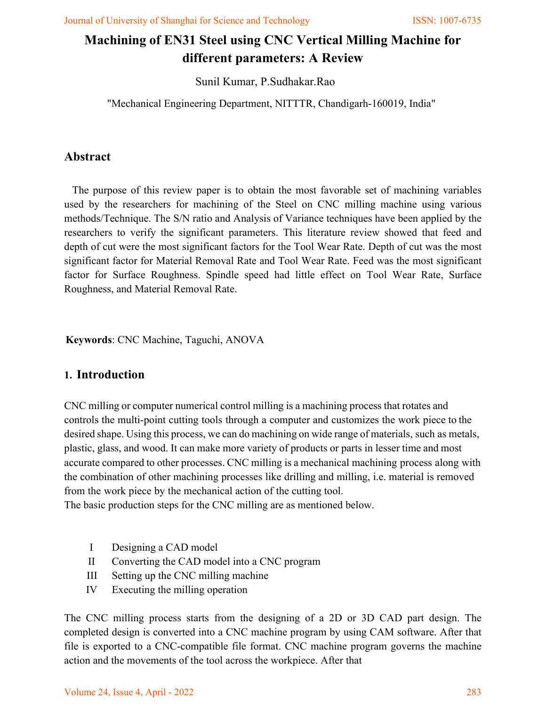# **Machining of EN31 Steel using CNC Vertical Milling Machine for different parameters: A Review**

Sunil Kumar, P.Sudhakar.Rao

"Mechanical Engineering Department, NITTTR, Chandigarh-160019, India"

## **Abstract**

The purpose of this review paper is to obtain the most favorable set of machining variables used by the researchers for machining of the Steel on CNC milling machine using various methods/Technique. The S/N ratio and Analysis of Variance techniques have been applied by the researchers to verify the significant parameters. This literature review showed that feed and depth of cut were the most significant factors for the Tool Wear Rate. Depth of cut was the most significant factor for Material Removal Rate and Tool Wear Rate. Feed was the most significant factor for Surface Roughness. Spindle speed had little effect on Tool Wear Rate, Surface Roughness, and Material Removal Rate.

**Keywords**: CNC Machine, Taguchi, ANOVA

## **1. Introduction**

CNC milling or computer numerical control milling is a machining process that rotates and controls the multi-point cutting tools through a computer and customizes the work piece to the desired shape. Using this process, we can do machining on wide range of materials, such as metals, plastic, glass, and wood. It can make more variety of products or parts in lesser time and most accurate compared to other processes. CNC milling is a mechanical machining process along with the combination of other machining processes like drilling and milling, i.e. material is removed from the work piece by the mechanical action of the cutting tool.

The basic production steps for the CNC milling are as mentioned below.

- I Designing a CAD model
- II Converting the CAD model into a CNC program
- III Setting up the CNC milling machine
- IV Executing the milling operation

The CNC milling process starts from the designing of a 2D or 3D CAD part design. The completed design is converted into a CNC machine program by using CAM software. After that file is exported to a CNC-compatible file format. CNC machine program governs the machine action and the movements of the tool across the workpiece. After that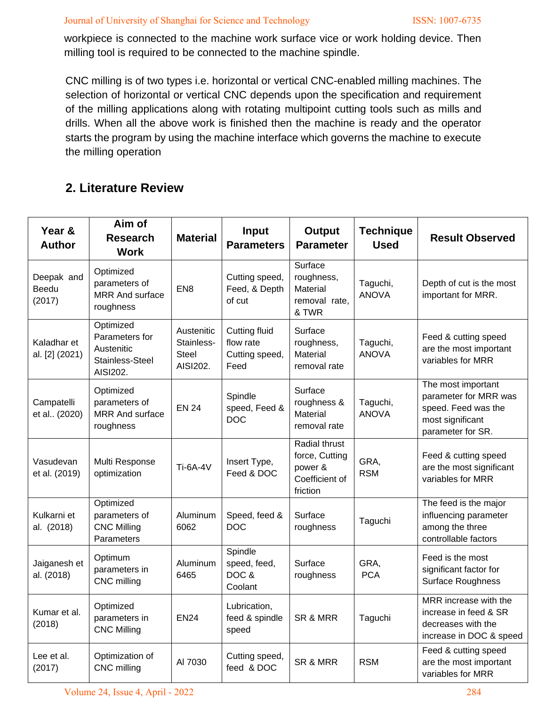#### Journal of University of Shanghai for Science and Technology ISSN: 1007-6735

workpiece is connected to the machine work surface vice or work holding device. Then milling tool is required to be connected to the machine spindle.

CNC milling is of two types i.e. horizontal or vertical CNC-enabled milling machines. The selection of horizontal or vertical CNC depends upon the specification and requirement of the milling applications along with rotating multipoint cutting tools such as mills and drills. When all the above work is finished then the machine is ready and the operator starts the program by using the machine interface which governs the machine to execute the milling operation

# **2. Literature Review**

| Year &<br><b>Author</b>       | Aim of<br><b>Research</b><br><b>Work</b>                                 | <b>Material</b>                               | Input<br><b>Parameters</b>                                  | <b>Output</b><br><b>Parameter</b>                                        | <b>Technique</b><br><b>Used</b> | <b>Result Observed</b>                                                                                      |
|-------------------------------|--------------------------------------------------------------------------|-----------------------------------------------|-------------------------------------------------------------|--------------------------------------------------------------------------|---------------------------------|-------------------------------------------------------------------------------------------------------------|
| Deepak and<br>Beedu<br>(2017) | Optimized<br>parameters of<br><b>MRR And surface</b><br>roughness        | EN <sub>8</sub>                               | Cutting speed,<br>Feed, & Depth<br>of cut                   | Surface<br>roughness,<br>Material<br>removal rate,<br>& TWR              | Taguchi,<br><b>ANOVA</b>        | Depth of cut is the most<br>important for MRR.                                                              |
| Kaladhar et<br>al. [2] (2021) | Optimized<br>Parameters for<br>Austenitic<br>Stainless-Steel<br>AISI202. | Austenitic<br>Stainless-<br>Steel<br>AISI202. | <b>Cutting fluid</b><br>flow rate<br>Cutting speed,<br>Feed | Surface<br>roughness,<br>Material<br>removal rate                        | Taguchi,<br><b>ANOVA</b>        | Feed & cutting speed<br>are the most important<br>variables for MRR                                         |
| Campatelli<br>et al (2020)    | Optimized<br>parameters of<br><b>MRR And surface</b><br>roughness        | <b>EN 24</b>                                  | Spindle<br>speed, Feed &<br><b>DOC</b>                      | Surface<br>roughness &<br>Material<br>removal rate                       | Taguchi,<br><b>ANOVA</b>        | The most important<br>parameter for MRR was<br>speed. Feed was the<br>most significant<br>parameter for SR. |
| Vasudevan<br>et al. (2019)    | Multi Response<br>optimization                                           | <b>Ti-6A-4V</b>                               | Insert Type,<br>Feed & DOC                                  | Radial thrust<br>force, Cutting<br>power &<br>Coefficient of<br>friction | GRA,<br><b>RSM</b>              | Feed & cutting speed<br>are the most significant<br>variables for MRR                                       |
| Kulkarni et<br>al. (2018)     | Optimized<br>parameters of<br><b>CNC Milling</b><br>Parameters           | Aluminum<br>6062                              | Speed, feed &<br><b>DOC</b>                                 | Surface<br>roughness                                                     | Taguchi                         | The feed is the major<br>influencing parameter<br>among the three<br>controllable factors                   |
| Jaiganesh et<br>al. (2018)    | Optimum<br>parameters in<br>CNC milling                                  | Aluminum<br>6465                              | Spindle<br>speed, feed,<br>DOC &<br>Coolant                 | Surface<br>roughness                                                     | GRA,<br><b>PCA</b>              | Feed is the most<br>significant factor for<br>Surface Roughness                                             |
| Kumar et al.<br>(2018)        | Optimized<br>parameters in<br><b>CNC Milling</b>                         | <b>EN24</b>                                   | Lubrication,<br>feed & spindle<br>speed                     | SR & MRR                                                                 | Taguchi                         | MRR increase with the<br>increase in feed & SR<br>decreases with the<br>increase in DOC & speed             |
| Lee et al.<br>(2017)          | Optimization of<br>CNC milling                                           | AI 7030                                       | Cutting speed,<br>feed & DOC                                | SR & MRR                                                                 | <b>RSM</b>                      | Feed & cutting speed<br>are the most important<br>variables for MRR                                         |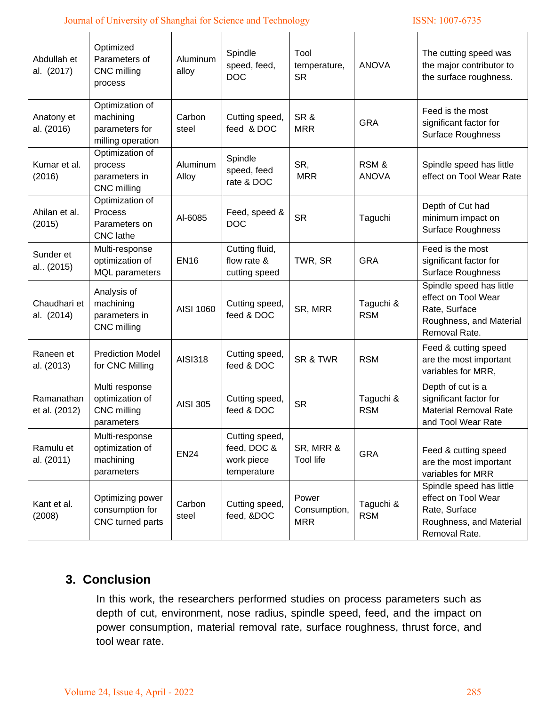### Journal of University of Shanghai for Science and Technology ISSN: 1007-6735

| Abdullah et<br>al. (2017)   | Optimized<br>Parameters of<br>CNC milling<br>process                | Aluminum<br>alloy | Spindle<br>speed, feed,<br><b>DOC</b>                      | Tool<br>temperature,<br><b>SR</b>   | <b>ANOVA</b>            | The cutting speed was<br>the major contributor to<br>the surface roughness.                                  |
|-----------------------------|---------------------------------------------------------------------|-------------------|------------------------------------------------------------|-------------------------------------|-------------------------|--------------------------------------------------------------------------------------------------------------|
| Anatony et<br>al. (2016)    | Optimization of<br>machining<br>parameters for<br>milling operation | Carbon<br>steel   | Cutting speed,<br>feed & DOC                               | SR&<br><b>MRR</b>                   | <b>GRA</b>              | Feed is the most<br>significant factor for<br>Surface Roughness                                              |
| Kumar et al.<br>(2016)      | Optimization of<br>process<br>parameters in<br>CNC milling          | Aluminum<br>Alloy | Spindle<br>speed, feed<br>rate & DOC                       | SR,<br><b>MRR</b>                   | RSM&<br><b>ANOVA</b>    | Spindle speed has little<br>effect on Tool Wear Rate                                                         |
| Ahilan et al.<br>(2015)     | Optimization of<br>Process<br>Parameters on<br><b>CNC</b> lathe     | Al-6085           | Feed, speed &<br><b>DOC</b>                                | <b>SR</b>                           | Taguchi                 | Depth of Cut had<br>minimum impact on<br>Surface Roughness                                                   |
| Sunder et<br>al (2015)      | Multi-response<br>optimization of<br><b>MQL</b> parameters          | <b>EN16</b>       | Cutting fluid,<br>flow rate &<br>cutting speed             | TWR, SR                             | <b>GRA</b>              | Feed is the most<br>significant factor for<br>Surface Roughness                                              |
| Chaudhari et<br>al. (2014)  | Analysis of<br>machining<br>parameters in<br>CNC milling            | AISI 1060         | Cutting speed,<br>feed & DOC                               | SR, MRR                             | Taguchi &<br><b>RSM</b> | Spindle speed has little<br>effect on Tool Wear<br>Rate, Surface<br>Roughness, and Material<br>Removal Rate. |
| Raneen et<br>al. (2013)     | <b>Prediction Model</b><br>for CNC Milling                          | <b>AISI318</b>    | Cutting speed,<br>feed & DOC                               | SR & TWR                            | <b>RSM</b>              | Feed & cutting speed<br>are the most important<br>variables for MRR,                                         |
| Ramanathan<br>et al. (2012) | Multi response<br>optimization of<br>CNC milling<br>parameters      | <b>AISI 305</b>   | Cutting speed,<br>feed & DOC                               | <b>SR</b>                           | Taguchi &<br><b>RSM</b> | Depth of cut is a<br>significant factor for<br><b>Material Removal Rate</b><br>and Tool Wear Rate            |
| Ramulu et<br>al. (2011)     | Multi-response<br>optimization of<br>machining<br>parameters        | <b>EN24</b>       | Cutting speed,<br>feed, DOC &<br>work piece<br>temperature | SR, MRR &<br>Tool life              | <b>GRA</b>              | Feed & cutting speed<br>are the most important<br>variables for MRR                                          |
| Kant et al.<br>(2008)       | Optimizing power<br>consumption for<br>CNC turned parts             | Carbon<br>steel   | Cutting speed,<br>feed, &DOC                               | Power<br>Consumption,<br><b>MRR</b> | Taguchi &<br><b>RSM</b> | Spindle speed has little<br>effect on Tool Wear<br>Rate, Surface<br>Roughness, and Material<br>Removal Rate. |

# **3. Conclusion**

In this work, the researchers performed studies on process parameters such as depth of cut, environment, nose radius, spindle speed, feed, and the impact on power consumption, material removal rate, surface roughness, thrust force, and tool wear rate.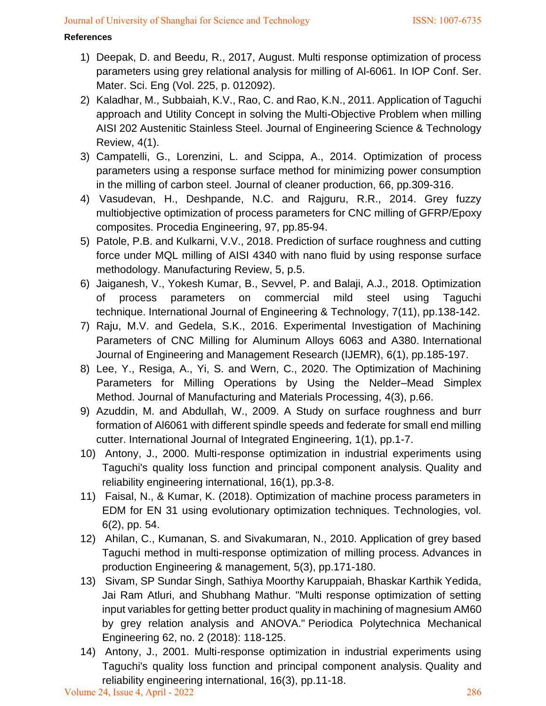#### **References**

- 1) Deepak, D. and Beedu, R., 2017, August. Multi response optimization of process parameters using grey relational analysis for milling of Al-6061. In IOP Conf. Ser. Mater. Sci. Eng (Vol. 225, p. 012092).
- 2) Kaladhar, M., Subbaiah, K.V., Rao, C. and Rao, K.N., 2011. Application of Taguchi approach and Utility Concept in solving the Multi-Objective Problem when milling AISI 202 Austenitic Stainless Steel. Journal of Engineering Science & Technology Review, 4(1).
- 3) Campatelli, G., Lorenzini, L. and Scippa, A., 2014. Optimization of process parameters using a response surface method for minimizing power consumption in the milling of carbon steel. Journal of cleaner production, 66, pp.309-316.
- 4) Vasudevan, H., Deshpande, N.C. and Rajguru, R.R., 2014. Grey fuzzy multiobjective optimization of process parameters for CNC milling of GFRP/Epoxy composites. Procedia Engineering, 97, pp.85-94.
- 5) Patole, P.B. and Kulkarni, V.V., 2018. Prediction of surface roughness and cutting force under MQL milling of AISI 4340 with nano fluid by using response surface methodology. Manufacturing Review, 5, p.5.
- 6) Jaiganesh, V., Yokesh Kumar, B., Sevvel, P. and Balaji, A.J., 2018. Optimization of process parameters on commercial mild steel using Taguchi technique. International Journal of Engineering & Technology, 7(11), pp.138-142.
- 7) Raju, M.V. and Gedela, S.K., 2016. Experimental Investigation of Machining Parameters of CNC Milling for Aluminum Alloys 6063 and A380. International Journal of Engineering and Management Research (IJEMR), 6(1), pp.185-197.
- 8) Lee, Y., Resiga, A., Yi, S. and Wern, C., 2020. The Optimization of Machining Parameters for Milling Operations by Using the Nelder–Mead Simplex Method. Journal of Manufacturing and Materials Processing, 4(3), p.66.
- 9) Azuddin, M. and Abdullah, W., 2009. A Study on surface roughness and burr formation of Al6061 with different spindle speeds and federate for small end milling cutter. International Journal of Integrated Engineering, 1(1), pp.1-7.
- 10) Antony, J., 2000. Multi‐response optimization in industrial experiments using Taguchi's quality loss function and principal component analysis. Quality and reliability engineering international, 16(1), pp.3-8.
- 11) Faisal, N., & Kumar, K. (2018). Optimization of machine process parameters in EDM for EN 31 using evolutionary optimization techniques. Technologies, vol. 6(2), pp. 54.
- 12) Ahilan, C., Kumanan, S. and Sivakumaran, N., 2010. Application of grey based Taguchi method in multi-response optimization of milling process. Advances in production Engineering & management, 5(3), pp.171-180.
- 13) Sivam, SP Sundar Singh, Sathiya Moorthy Karuppaiah, Bhaskar Karthik Yedida, Jai Ram Atluri, and Shubhang Mathur. "Multi response optimization of setting input variables for getting better product quality in machining of magnesium AM60 by grey relation analysis and ANOVA." Periodica Polytechnica Mechanical Engineering 62, no. 2 (2018): 118-125.
- 14) Antony, J., 2001. Multi‐response optimization in industrial experiments using Taguchi's quality loss function and principal component analysis. Quality and reliability engineering international, 16(3), pp.11-18.